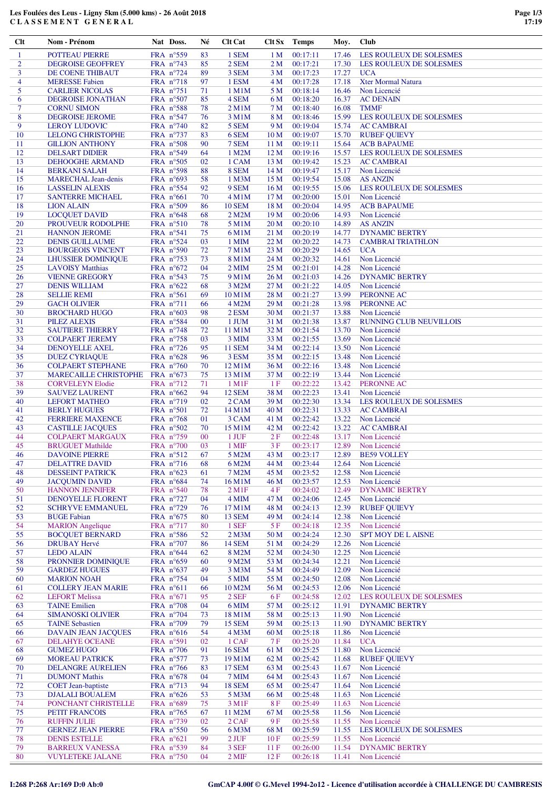## **Les Foulées des Leus - Ligny 5km (5.000 kms) - 26 Août 2018 C L A S S E M E N T G E N E R A L**

| Clt                 | Nom - Prénom                                         | Nat Doss.                                 | Né       | <b>Clt Cat</b>                      | Clt Sx                  | <b>Temps</b>         | Moy.           | <b>Club</b>                                  |
|---------------------|------------------------------------------------------|-------------------------------------------|----------|-------------------------------------|-------------------------|----------------------|----------------|----------------------------------------------|
| $\mathbf{1}$        | POTTEAU PIERRE                                       | FRA $n^{\circ}559$                        | 83       | 1 SEM                               | 1 <sub>M</sub>          | 00:17:11             | 17.46          | LES ROULEUX DE SOLESMES                      |
| $\overline{2}$      | <b>DEGROISE GEOFFREY</b>                             | FRA n°743                                 | 85       | 2 SEM                               | 2 <sub>M</sub>          | 00:17:21             | 17.30          | LES ROULEUX DE SOLESMES                      |
| 3<br>$\overline{4}$ | DE COENE THIBAUT<br><b>MERESSE Fabien</b>            | FRA $n^{\circ}$ 724<br>FRA n°718          | 89<br>97 | 3 SEM<br>1 ESM                      | 3 M<br>4 M              | 00:17:23<br>00:17:28 | 17.27<br>17.18 | <b>UCA</b><br><b>Xter Mormal Natura</b>      |
| 5                   | <b>CARLIER NICOLAS</b>                               | FRA $n^{\circ}$ 751                       | 71       | $1$ M $1$ M                         | 5 M                     | 00:18:14             | 16.46          | Non Licencié                                 |
| 6                   | DEGROISE JONATHAN                                    | FRA n°507                                 | 85       | 4 SEM                               | 6 M                     | 00:18:20             | 16.37          | <b>AC DENAIN</b>                             |
| $\tau$              | <b>CORNU SIMON</b>                                   | FRA $n^{\circ}588$                        | 78       | 2 M1M                               | 7 M                     | 00:18:40             | 16.08          | <b>TMMF</b>                                  |
| 8<br>9              | <b>DEGROISE JEROME</b><br><b>LEROY LUDOVIC</b>       | FRA n°547<br>FRA n°740                    | 76<br>82 | 3 M1M<br>5 SEM                      | 8 M<br>9 M              | 00:18:46<br>00:19:04 | 15.99<br>15.74 | LES ROULEUX DE SOLESMES<br><b>AC CAMBRAI</b> |
| 10                  | <b>LELONG CHRISTOPHE</b>                             | FRA $n^{\circ}$ 737                       | 83       | 6 SEM                               | 10 <sub>M</sub>         | 00:19:07             | 15.70          | <b>RUBEF QUIEVY</b>                          |
| 11                  | <b>GILLION ANTHONY</b>                               | FRA n°508                                 | 90       | 7 SEM                               | 11 <sub>M</sub>         | 00:19:11             | 15.64          | <b>ACB BAPAUME</b>                           |
| 12                  | <b>DELSART DIDIER</b>                                | FRA n°549                                 | 64       | 1 M2M                               | 12 <sub>M</sub>         | 00:19:16             | 15.57          | <b>LES ROULEUX DE SOLESMES</b>               |
| 13                  | DEHOOGHE ARMAND                                      | FRA $n^{\circ}505$                        | 02       | 1 CAM                               | 13 M                    | 00:19:42             | 15.23          | <b>AC CAMBRAI</b>                            |
| 14<br>15            | <b>BERKANI SALAH</b><br><b>MARECHAL Jean-denis</b>   | FRA n°598<br>FRA n°693                    | 88<br>58 | 8 SEM<br>1 M3M                      | 14 M<br>15 M            | 00:19:47<br>00:19:54 | 15.17<br>15.08 | Non Licencié<br><b>AS ANZIN</b>              |
| 16                  | <b>LASSELIN ALEXIS</b>                               | FRA $n^{\circ}$ 554                       | 92       | 9 SEM                               | 16 M                    | 00:19:55             | 15.06          | LES ROULEUX DE SOLESMES                      |
| 17                  | <b>SANTERRE MICHAEL</b>                              | FRA $n^{\circ}661$                        | 70       | 4 M1M                               | 17 <sub>M</sub>         | 00:20:00             | 15.01          | Non Licencié                                 |
| 18<br>19            | <b>LION ALAIN</b>                                    | FRA n°509                                 | 86       | <b>10 SEM</b><br>2 M2M              | 18 M<br>19 <sub>M</sub> | 00:20:04<br>00:20:06 | 14.95          | <b>ACB BAPAUME</b>                           |
| 20                  | <b>LOCQUET DAVID</b><br>PROUVEUR RODOLPHE            | FRA $n^{\circ}648$<br>FRA $n^{\circ}510$  | 68<br>78 | 5 M1M                               | 20 M                    | 00:20:10             | 14.93<br>14.89 | Non Licencié<br><b>AS ANZIN</b>              |
| 21                  | <b>HANNON JEROME</b>                                 | FRA n°541                                 | 75       | 6 M1M                               | 21 M                    | 00:20:19             | 14.77          | <b>DYNAMIC BERTRY</b>                        |
| 22                  | <b>DENIS GUILLAUME</b>                               | FRA n°524                                 | 03       | 1 MIM                               | 22 M                    | 00:20:22             | 14.73          | <b>CAMBRAI TRIATHLON</b>                     |
| 23                  | <b>BOURGEOIS VINCENT</b>                             | FRA n°590                                 | 72       | 7 M1M                               | 23 M                    | 00:20:29             | 14.65          | <b>UCA</b>                                   |
| 24<br>25            | <b>LHUSSIER DOMINIQUE</b><br><b>LAVOISY Matthias</b> | FRA $n^{\circ}$ 753<br>FRA $n^{\circ}672$ | 73<br>04 | 8 M1M<br>$2$ MIM                    | 24 M<br>25 M            | 00:20:32<br>00:21:01 | 14.61<br>14.28 | Non Licencié<br>Non Licencié                 |
| 26                  | <b>VIENNE GREGORY</b>                                | FRA $n^{\circ}543$                        | 75       | 9 M1M                               | 26 M                    | 00:21:03             | 14.26          | <b>DYNAMIC BERTRY</b>                        |
| 27                  | <b>DENIS WILLIAM</b>                                 | FRA $n^{\circ}622$                        | 68       | 3 M2M                               | 27 M                    | 00:21:22             | 14.05          | Non Licencié                                 |
| 28                  | <b>SELLIE REMI</b>                                   | FRA n°561                                 | 69       | 10 M1M                              | 28 M                    | 00:21:27             | 13.99          | PERONNE AC                                   |
| 29<br>30            | <b>GACH OLIVIER</b><br><b>BROCHARD HUGO</b>          | FRA n°711<br>FRA $n^{\circ}603$           | 66<br>98 | 4 M2M<br>2 ESM                      | 29 M<br>30 M            | 00:21:28<br>00:21:37 | 13.98<br>13.88 | <b>PERONNE AC</b><br>Non Licencié            |
| 31                  | <b>PILEZ ALEXIS</b>                                  | FRA n°584                                 | $00\,$   | 1 JUM                               | 31 M                    | 00:21:38             | 13.87          | <b>RUNNING CLUB NEUVILLOIS</b>               |
| 32                  | <b>SAUTIERE THIERRY</b>                              | FRA $n^{\circ}$ 748                       | 72       | 11 M1M                              | 32 M                    | 00:21:54             | 13.70          | Non Licencié                                 |
| 33                  | <b>COLPAERT JEREMY</b>                               | FRA $n^{\circ}758$                        | 03       | 3 MIM                               | 33 M                    | 00:21:55             | 13.69          | Non Licencié                                 |
| 34                  | <b>DENOYELLE AXEL</b>                                | FRA $n^{\circ}$ 726                       | 95       | <b>11 SEM</b>                       | 34 M                    | 00:22:14             | 13.50          | Non Licencié                                 |
| 35<br>36            | <b>DUEZ CYRIAQUE</b><br><b>COLPAERT STEPHANE</b>     | FRA n°628<br>FRA $n^{\circ}760$           | 96<br>70 | 3 ESM<br>12 M1M                     | 35 M<br>36 M            | 00:22:15<br>00:22:16 | 13.48<br>13.48 | Non Licencié<br>Non Licencié                 |
| 37                  | <b>MARECAILLE CHRISTOPHE</b>                         | FRA $n^{\circ}673$                        | 75       | 13 M1M                              | 37 M                    | 00:22:19             | 13.44          | Non Licencié                                 |
| 38                  | <b>CORVELEYN Elodie</b>                              | FRA $n^{\circ}$ 712                       | 71       | $1$ M $1$ F                         | 1 F                     | 00:22:22             | 13.42          | PERONNE AC                                   |
| 39                  | <b>SAUVEZ LAURENT</b>                                | FRA $n^{\circ}662$                        | 94       | <b>12 SEM</b>                       | 38 M                    | 00:22:23             | 13.41          | Non Licencié                                 |
| 40<br>41            | <b>LEFORT MATHEO</b><br><b>BERLY HUGUES</b>          | FRA $n^{\circ}$ 719<br>FRA $n^{\circ}501$ | 02<br>72 | 2 CAM<br>14 M1M                     | 39 M<br>40 M            | 00:22:30<br>00:22:31 | 13.34<br>13.33 | LES ROULEUX DE SOLESMES<br><b>AC CAMBRAI</b> |
| 42                  | <b>FERRIERE MAXENCE</b>                              | FRA n°768                                 | 01       | 3 CAM                               | 41 M                    | 00:22:42             | 13.22          | Non Licencié                                 |
| 43                  | <b>CASTILLE JACQUES</b>                              | FRA n°502                                 | 70       | 15 M1M                              | 42 M                    | 00:22:42             | 13.22          | <b>AC CAMBRAI</b>                            |
| 44                  | <b>COLPAERT MARGAUX</b>                              | FRA n°759                                 | $00\,$   | $1$ JUF                             | 2F                      | 00:22:48             | 13.17          | Non Licencié                                 |
| 45<br>46            | <b>BRUGUET Mathilde</b><br><b>DAVOINE PIERRE</b>     | FRA $n^{\circ}700$<br>FRA n°512           | 03<br>67 | 1 MIF<br>5 M2M                      | 3F<br>43 M              | 00:23:17<br>00:23:17 | 12.89<br>12.89 | Non Licencié<br><b>BE59 VOLLEY</b>           |
| 47                  | <b>DELATTRE DAVID</b>                                | FRA n°716                                 | 68       | 6 M2M                               | 44 M                    | 00:23:44             | 12.64          | Non Licencié                                 |
| 48                  | <b>DESSEINT PATRICK</b>                              | FRA n°623                                 | 61       | 7 M2M                               | 45 M                    | 00:23:52             | 12.58          | Non Licencié                                 |
| 49                  | <b>JACOUMIN DAVID</b>                                | FRA n°684                                 | 74       | 16 M1M                              | 46 M                    | 00:23:57             | 12.53          | Non Licencié                                 |
| 50<br>51            | <b>HANNON JENNIFER</b><br>DENOYELLE FLORENT          | FRA $n^{\circ}540$<br>FRA n°727           | 78<br>04 | $2$ M <sub>1</sub> $F$<br>4 MIM     | 4F<br>47 M              | 00:24:02<br>00:24:06 | 12.49<br>12.45 | <b>DYNAMIC BERTRY</b><br>Non Licencié        |
| 52                  | <b>SCHRYVE EMMANUEL</b>                              | FRA n°729                                 | 76       | 17 M1M                              | 48 M                    | 00:24:13             | 12.39          | <b>RUBEF QUIEVY</b>                          |
| 53                  | <b>BUGE Fabian</b>                                   | FRA n°675                                 | 80       | <b>13 SEM</b>                       | 49 M                    | 00:24:14             | 12.38          | Non Licencié                                 |
| 54                  | <b>MARION</b> Angelique                              | FRA n°717                                 | 80       | 1 SEF                               | 5 F                     | 00:24:18             | 12.35          | Non Licencié                                 |
| 55<br>56            | <b>BOCOUET BERNARD</b><br><b>DRUBAY Hervé</b>        | FRA n°586<br>FRA n°707                    | 52<br>86 | 2 M <sub>3</sub> M<br><b>14 SEM</b> | 50 M<br>51 M            | 00:24:24<br>00:24:29 | 12.30<br>12.26 | <b>SPT MOY DE L AISNE</b><br>Non Licencié    |
| 57                  | <b>LEDO ALAIN</b>                                    | FRA $n^{\circ}644$                        | 62       | 8 M2M                               | 52 M                    | 00:24:30             | 12.25          | Non Licencié                                 |
| 58                  | PRONNIER DOMINIQUE                                   | FRA $n^{\circ}659$                        | 60       | 9 M2M                               | 53 M                    | 00:24:34             | 12.21          | Non Licencié                                 |
| 59                  | <b>GARDEZ HUGUES</b>                                 | FRA n°637                                 | 49       | 3 M3M                               | 54 M                    | 00:24:49             | 12.09          | Non Licencié                                 |
| 60<br>61            | <b>MARION NOAH</b><br><b>COLLERY JEAN MARIE</b>      | FRA n°754<br>FRA $n^{\circ}611$           | 04<br>66 | 5 MIM<br>10 M2M                     | 55 M<br>56 M            | 00:24:50<br>00:24:53 | 12.08<br>12.06 | Non Licencié<br>Non Licencié                 |
| 62                  | <b>LEFORT Melissa</b>                                | FRA $n^{\circ}671$                        | 95       | 2 SEF                               | 6 F                     | 00:24:58             | 12.02          | LES ROULEUX DE SOLESMES                      |
| 63                  | <b>TAINE Emilien</b>                                 | FRA n°708                                 | 04       | 6 MIM                               | 57 M                    | 00:25:12             | 11.91          | <b>DYNAMIC BERTRY</b>                        |
| 64                  | <b>SIMANOSKI OLIVIER</b>                             | FRA $n^{\circ}$ 704                       | 73       | 18 M1M                              | 58 M                    | 00:25:13             | 11.90          | Non Licencié                                 |
| 65<br>66            | <b>TAINE Sebastien</b><br><b>DAVAIN JEAN JACQUES</b> | FRA n°709<br>FRA $n^{\circ}616$           | 79<br>54 | <b>15 SEM</b><br>4 M3M              | 59 M<br>60 M            | 00:25:13<br>00:25:18 | 11.90<br>11.86 | <b>DYNAMIC BERTRY</b><br>Non Licencié        |
| 67                  | DELAHYE OCEANE                                       | FRA $n^{\circ}591$                        | 02       | 1 CAF                               | 7 F                     | 00:25:20             | 11.84          | <b>UCA</b>                                   |
| 68                  | <b>GUMEZ HUGO</b>                                    | FRA $n^{\circ}706$                        | 91       | <b>16 SEM</b>                       | 61 M                    | 00:25:25             | 11.80          | Non Licencié                                 |
| 69                  | <b>MOREAU PATRICK</b>                                | FRA $n^{\circ}577$                        | 73       | 19 M1M                              | 62 M                    | 00:25:42             | 11.68          | <b>RUBEF QUIEVY</b>                          |
| 70                  | <b>DELANGRE AURELIEN</b>                             | FRA n°766                                 | 83       | <b>17 SEM</b>                       | 63 M                    | 00:25:43             | 11.67          | Non Licencié                                 |
| 71<br>72            | <b>DUMONT Mathis</b><br><b>COET</b> Jean-baptiste    | FRA $n^{\circ}678$<br>FRA n°713           | 04<br>94 | 7 MIM<br><b>18 SEM</b>              | 64 M<br>65 M            | 00:25:43<br>00:25:47 | 11.67<br>11.64 | Non Licencié<br>Non Licencié                 |
| 73                  | <b>DJALALI BOUALEM</b>                               | FRA $n^{\circ}626$                        | 53       | 5 M3M                               | 66 M                    | 00:25:48             | 11.63          | Non Licencié                                 |
| 74                  | PONCHANT CHRISTELLE                                  | FRA $n^{\circ}689$                        | 75       | 3 M1F                               | 8F                      | 00:25:49             | 11.63          | Non Licencié                                 |
| 75                  | PETIT FRANCOIS                                       | FRA $n^{\circ}$ 765                       | 67       | 11 M2M                              | 67 M                    | 00:25:58             | 11.56          | Non Licencié                                 |
| 76<br>77            | <b>RUFFIN JULIE</b><br><b>GERNEZ JEAN PIERRE</b>     | FRA $n^{\circ}$ 739<br>FRA n°550          | 02<br>56 | 2 CAF<br>6 M3M                      | 9 F<br>68 M             | 00:25:58<br>00:25:59 | 11.55<br>11.55 | Non Licencié<br>LES ROULEUX DE SOLESMES      |
| 78                  | <b>DENIS ESTELLE</b>                                 | FRA n°621                                 | 99       | $2$ JUF                             | 10F                     | 00:25:59             | 11.55          | Non Licencié                                 |
| 79                  | <b>BARREUX VANESSA</b>                               | FRA n°539                                 | 84       | 3 SEF                               | 11F                     | 00:26:00             | 11.54          | <b>DYNAMIC BERTRY</b>                        |
| 80                  | <b>VUYLETEKE JALANE</b>                              | FRA n°750                                 | 04       | $2$ MIF                             | 12F                     | 00:26:18             | 11.41          | Non Licencié                                 |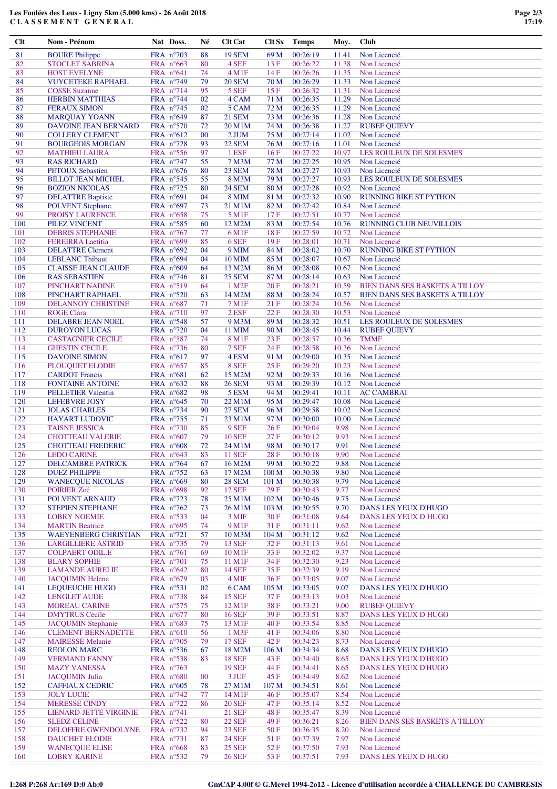## **Les Foulées des Leus - Ligny 5km (5.000 kms) - 26 Août 2018 C L A S S E M E N T G E N E R A L**

| Clt      | Nom - Prénom                  | Nat Doss.           | Né     | <b>Clt Cat</b>     | Clt Sx           | <b>Temps</b> | Moy.  | <b>Club</b>                           |
|----------|-------------------------------|---------------------|--------|--------------------|------------------|--------------|-------|---------------------------------------|
| 81       | <b>BOURE Philippe</b>         | FRA n°703           | 88     | <b>19 SEM</b>      | 69 M             | 00:26:19     | 11.41 | Non Licencié                          |
| 82       | <b>STOCLET SABRINA</b>        | FRA $n^{\circ}663$  | 80     | 4 SEF              | 13F              | 00:26:22     | 11.38 | Non Licencié                          |
| 83       | <b>HOST EVELYNE</b>           | FRA n°641           | 74     | 4 M1F              | 14 F             | 00:26:26     | 11.35 | Non Licencié                          |
| 84       | <b>VUYCETEKE RAPHAEL</b>      | FRA n°749           | 79     | <b>20 SEM</b>      | 70 M             | 00:26:29     | 11.33 | Non Licencié                          |
| 85       | <b>COSSE Suzanne</b>          | FRA n°714           | 95     | 5 SEF              | 15F              | 00:26:32     | 11.31 | Non Licencié                          |
| 86       | <b>HERBIN MATTHIAS</b>        | FRA n°744           | 02     | 4 CAM              | 71 M             | 00:26:35     | 11.29 | Non Licencié                          |
| 87       | <b>FERAUX SIMON</b>           | FRA n°745           | 02     | 5 CAM              | 72 M             | 00:26:35     | 11.29 | Non Licencié                          |
| 88       | <b>MARQUAY YOANN</b>          | FRA $n^{\circ}649$  | 87     | <b>21 SEM</b>      | 73 M             | 00:26:36     | 11.28 | Non Licencié                          |
| 89       | DAVOINE JEAN BERNARD          | FRA $n^{\circ}570$  | 72     | 20 M1M             | 74 M             | 00:26:38     | 11.27 | <b>RUBEF QUIEVY</b>                   |
| 90       | <b>COLLERY CLEMENT</b>        | FRA $n^{\circ}612$  | 00     | 2 JUM              | 75 M             | 00:27:14     | 11.02 | Non Licencié                          |
| 91       | <b>BOURGEOIS MORGAN</b>       | FRA n°728           | 93     | <b>22 SEM</b>      | 76 M             | 00:27:16     | 11.01 | Non Licencié                          |
| 92       | <b>MATHIEU LAURA</b>          | FRA $n^{\circ}$ 556 | 97     | 1 ESF              | 16F              | 00:27:22     | 10.97 | LES ROULEUX DE SOLESMES               |
| 93       | <b>RAS RICHARD</b>            | FRA $n^{\circ}$ 747 | 55     | 7 M3M              | 77 M             | 00:27:25     | 10.95 | Non Licencié                          |
| 94       | <b>PETOUX Sebastien</b>       | FRA $n^{\circ}676$  | 80     | 23 SEM             | 78 M             | 00:27:27     | 10.93 | Non Licencié                          |
| 95       | <b>BILLOT JEAN MICHEL</b>     | FRA $n^{\circ}545$  | 55     | 8 M3M              | 79 M             | 00:27:27     | 10.93 | LES ROULEUX DE SOLESMES               |
| 96       |                               |                     | 80     | <b>24 SEM</b>      | 80 M             | 00:27:28     | 10.92 | Non Licencié                          |
| 97       | <b>BOZION NICOLAS</b>         | FRA $n^{\circ}$ 725 | 04     |                    |                  | 00:27:32     |       |                                       |
|          | <b>DELATTRE Baptiste</b>      | FRA $n°691$         |        | <b>8 MIM</b>       | 81 M             |              | 10.90 | <b>RUNNING BIKE ST PYTHON</b>         |
| 98<br>99 | <b>POLVENT</b> Stephane       | FRA $n^{\circ}697$  | 73     | 21 M1M             | 82 M             | 00:27:42     | 10.84 | Non Licencié                          |
|          | PROISY LAURENCE               | FRA $n^{\circ}658$  | 75     | 5 M1F              | 17F              | 00:27:51     | 10.77 | Non Licencié                          |
| 100      | PILEZ VINCENT                 | FRA n°585           | 60     | 12 M2M             | 83 M             | 00:27:54     | 10.76 | <b>RUNNING CLUB NEUVILLOIS</b>        |
| 101      | <b>DEBRIS STEPHANIE</b>       | FRA $n^{\circ}767$  | 77     | 6 M1F              | 18F              | 00:27:59     | 10.72 | Non Licencié                          |
| 102      | <b>FEREIRRA</b> Laetitia      | FRA $n^{\circ}699$  | 85     | 6 SEF              | 19F              | 00:28:01     | 10.71 | Non Licencié                          |
| 103      | <b>DELATTRE Clement</b>       | FRA $n^{\circ}692$  | 04     | <b>9 MIM</b>       | 84 M             | 00:28:02     | 10.70 | <b>RUNNING BIKE ST PYTHON</b>         |
| 104      | <b>LEBLANC Thibaut</b>        | FRA $n^{\circ}694$  | 04     | <b>10 MIM</b>      | 85 M             | 00:28:07     | 10.67 | Non Licencié                          |
| 105      | <b>CLAISSE JEAN CLAUDE</b>    | FRA n°609           | 64     | 13 M2M             | 86 M             | 00:28:08     | 10.67 | Non Licencié                          |
| 106      | <b>RAS SEBASTIEN</b>          | FRA n°746           | 81     | 25 SEM             | 87 M             | 00:28:14     | 10.63 | Non Licencié                          |
| 107      | PINCHART NADINE               | FRA n°519           | 64     | 1 M <sub>2</sub> F | 20F              | 00:28:21     | 10.59 | <b>BIEN DANS SES BASKETS A TILLOY</b> |
| 108      | PINCHART RAPHAEL              | FRA $n^{\circ}520$  | 63     | 14 M2M             | 88 M             | 00:28:24     | 10.57 | <b>BIEN DANS SES BASKETS A TILLOY</b> |
| 109      | <b>DELANNOY CHRISTINE</b>     | FRA n°687           | 71     | 7 M1F              | 21F              | 00:28:24     | 10.56 | Non Licencié                          |
| 110      | <b>ROGE Clara</b>             | FRA n°710           | 97     | $2$ ESF            | 22F              | 00:28:30     | 10.53 | Non Licencié                          |
| 111      | DELABRE JEAN NOEL             | FRA $n^{\circ}$ 548 | 57     | 9 M3M              | 89 M             | 00:28:32     | 10.51 | LES ROULEUX DE SOLESMES               |
| 112      | <b>DUROYON LUCAS</b>          | FRA $n^{\circ}720$  | 04     | 11 MIM             | 90 M             | 00:28:45     | 10.44 | <b>RUBEF QUIEVY</b>                   |
| 113      | <b>CASTAGNIER CECILE</b>      | FRA n°587           | 74     | 8 M1F              | 23 F             | 00:28:57     | 10.36 | <b>TMMF</b>                           |
| 114      | <b>GHESTIN CECILE</b>         | FRA $n^{\circ}$ 736 | 80     | 7 SEF              | 24 F             | 00:28:58     | 10.36 | Non Licencié                          |
| 115      | <b>DAVOINE SIMON</b>          | FRA n°617           | 97     | 4 ESM              | 91 M             | 00:29:00     | 10.35 | Non Licencié                          |
| 116      | PLOUQUET ELODIE               | FRA $n^{\circ}657$  | 85     | 8 SEF              | 25F              | 00:29:20     | 10.23 | Non Licencié                          |
| 117      | <b>CARDOT</b> Francis         | FRA $n^{\circ}681$  | 62     | 15 M2M             | 92 M             | 00:29:33     | 10.16 | Non Licencié                          |
| 118      | <b>FONTAINE ANTOINE</b>       | FRA $n^{\circ}632$  | 88     | <b>26 SEM</b>      | 93 M             | 00:29:39     | 10.12 | Non Licencié                          |
| 119      | PELLETIER Valentin            | FRA $n^{\circ}682$  | 98     | 5 ESM              | 94 M             | 00:29:41     | 10.11 | <b>AC CAMBRAI</b>                     |
| 120      | <b>LEFEBVRE JOSY</b>          | FRA $n^{\circ}645$  | 70     | 22 M1M             | 95 M             | 00:29:47     | 10.08 | Non Licencié                          |
| 121      | <b>JOLAS CHARLES</b>          | FRA n°734           | 90     | <b>27 SEM</b>      | 96 M             | 00:29:58     | 10.02 | Non Licencié                          |
| 122      | <b>HAYART LUDOVIC</b>         | FRA n°755           | 71     | 23 M1M             | 97 M             | 00:30:00     | 10.00 | Non Licencié                          |
| 123      | <b>TAISNE JESSICA</b>         | FRA n°730           | 85     | 9 SEF              | 26F              | 00:30:04     | 9.98  | Non Licencié                          |
| 124      | <b>CHOTTEAU VALERIE</b>       | FRA $n^{\circ}607$  | 79     | <b>10 SEF</b>      | 27F              | 00:30:12     | 9.93  | Non Licencié                          |
| 125      | <b>CHOTTEAU FREDERIC</b>      | FRA $n^{\circ}608$  | 72     | 24 M1M             | 98 M             | 00:30:17     | 9.91  | Non Licencié                          |
| 126      | <b>LEDO CARINE</b>            | FRA $n^{\circ}643$  | 83     | <b>11 SEF</b>      | 28F              | 00:30:18     | 9.90  | Non Licencié                          |
| 127      | <b>DELCAMBRE PATRICK</b>      | FRA $n^{\circ}$ 764 | 67     | 16 M2M             | 99 M             | 00:30:22     | 9.88  | Non Licencié                          |
| 128      | <b>DUEZ PHILIPPE</b>          | FRA n°752           | 63     | 17 M2M             | 100 M            | 00:30:38     | 9.80  | Non Licencié                          |
| 129      | <b>WANECQUE NICOLAS</b>       | FRA n°669           | 80     | <b>28 SEM</b>      | 101 <sub>M</sub> | 00:30:38     | 9.79  | Non Licencié                          |
| 130      | POIRIER Zoé                   | FRA $n^{\circ}698$  | 92     | <b>12 SEF</b>      | 29F              | 00:30:43     | 9.77  | Non Licencié                          |
| 131      | POLVENT ARNAUD                | FRA n°723           | 78     | 25 M1M             | 102 <sub>M</sub> | 00:30:46     | 9.75  | Non Licencié                          |
| 132      | <b>STEPIEN STEPHANE</b>       | FRA n°762           | 73     | 26 M1M             | 103 M            | 00:30:55     | 9.70  | DANS LES YEUX D'HUGO                  |
| 133      | <b>LOBRY NOEMIE</b>           | FRA n°533           | 04     | 3 MIF              | 30F              | 00:31:08     | 9.64  | DANS LES YEUX D HUGO                  |
| 134      | <b>MARTIN Beatrice</b>        | FRA n°695           | 74     | 9 M1F              | 31 F             | 00:31:11     | 9.62  | Non Licencié                          |
| 135      | <b>WAEYENBERG CHRISTIAN</b>   | FRA $n^{\circ}721$  | 57     | 10 M3M             | 104 M            | 00:31:12     | 9.62  | Non Licencié                          |
| 136      | <b>LARGILLIERE ASTRID</b>     | FRA n°735           | 79     | <b>13 SEF</b>      | 32F              | 00:31:13     | 9.61  | Non Licencié                          |
| 137      | <b>COLPAERT ODIL.E</b>        | FRA n°761           | 69     | 10 M1F             | 33 F             | 00:32:02     | 9.37  | Non Licencié                          |
| 138      | <b>BLARY SOPHIE</b>           | FRA n°701           | 75     | 11 M1F             | 34 F             | 00:32:30     | 9.23  | Non Licencié                          |
| 139      | <b>LAMANDE AURELIE</b>        | FRA n°642           | 80     | <b>14 SEF</b>      | 35F              | 00:32:39     | 9.19  | Non Licencié                          |
| 140      | <b>JACQUMIN Helena</b>        | FRA n°679           | 03     | 4 MIF              | 36F              | 00:33:05     | 9.07  | Non Licencié                          |
| 141      | LEQUEUCHE HUGO                | FRA n°531           | 02     | 6 CAM              | 105 M            | 00:33:05     | 9.07  | DANS LES YEUX D'HUGO                  |
| 142      | <b>LENGLET AUDE</b>           | FRA n°738           | 84     | <b>15 SEF</b>      | 37 F             | 00:33:13     | 9.03  | Non Licencié                          |
| 143      | <b>MOREAU CARINE</b>          | FRA n°575           | 75     | 12 M1F             | 38F              | 00:33:21     | 9.00  | <b>RUBEF QUIEVY</b>                   |
| 144      | <b>DMYTRUS</b> Cecile         | FRA $n^{\circ}677$  | 80     | <b>16 SEF</b>      | 39 F             | 00:33:51     | 8.87  | DANS LES YEUX D HUGO                  |
| 145      | <b>JACQUMIN Stephanie</b>     | FRA n°683           | 75     | 13 M1F             | 40 F             | 00:33:54     | 8.85  | Non Licencié                          |
| 146      | <b>CLEMENT BERNADETTE</b>     | FRA n°610           | 56     | 1 M3F              | 41 F             | 00:34:06     | 8.80  | Non Licencié                          |
| 147      | <b>MAIRESSE Melanie</b>       | FRA n°705           | 79     | <b>17 SEF</b>      | 42F              | 00:34:23     | 8.73  | Non Licencié                          |
| 148      | <b>REOLON MARC</b>            | FRA $n^{\circ}$ 536 | 67     | 18 M2M             | 106 <sub>M</sub> | 00:34:34     | 8.68  | DANS LES YEUX D'HUGO                  |
| 149      | <b>VERMAND FANNY</b>          | FRA $n^{\circ}$ 538 | 83     | <b>18 SEF</b>      | 43 F             | 00:34:40     | 8.65  | DANS LES YEUX D'HUGO                  |
| 150      | <b>MAZY VANESSA</b>           | FRA n°763           |        | <b>19 SEF</b>      | 44 F             | 00:34:41     | 8.65  | DANS LES YEUX D'HUGO                  |
| 151      | <b>JACQUMIN Julia</b>         | FRA n°680           | $00\,$ | 3 JUF              | 45 F             | 00:34:49     | 8.62  | Non Licencié                          |
| 152      | <b>CAFFIAUX CEDRIC</b>        | FRA $n^{\circ}605$  | 78     | 27 M1M             | 107 M            | 00:34:51     | 8.61  | Non Licencié                          |
| 153      | <b>JOLY LUCIE</b>             | FRA n°742           | 77     | 14 M1F             | 46F              | 00:35:07     | 8.54  | Non Licencié                          |
| 154      | <b>MERESSE CINDY</b>          | FRA n°722           | 86     | <b>20 SEF</b>      | 47 F             | 00:35:14     | 8.52  | Non Licencié                          |
| 155      | <b>LIENARD-JETTE VIRGINIE</b> | FRA $n^{\circ}$ 741 |        | 21 SEF             | 48 F             | 00:35:47     | 8.39  | Non Licencié                          |
| 156      | <b>SLEDZ CELINE</b>           | FRA n°522           | 80     | <b>22 SEF</b>      | 49 F             | 00:36:21     | 8.26  | BIEN DANS SES BASKETS A TILLOY        |
| 157      | DELOFFRE GWENDOLYNE           | FRA n°732           | 94     | <b>23 SEF</b>      | 50 F             | 00:36:35     | 8.20  | Non Licencié                          |
| 158      | <b>DAUCHET ELODIE</b>         | FRA n°731           | 87     | <b>24 SEF</b>      | 51 F             | 00:37:39     | 7.97  | Non Licencié                          |
| 159      | <b>WANECQUE ELISE</b>         | FRA n°668           | 83     | <b>25 SEF</b>      | 52F              | 00:37:50     | 7.93  | Non Licencié                          |
| 160      | <b>LOBRY KARINE</b>           | FRA n°532           | 79     | <b>26 SEF</b>      | 53F              | 00:37:51     | 7.93  | DANS LES YEUX D HUGO                  |
|          |                               |                     |        |                    |                  |              |       |                                       |